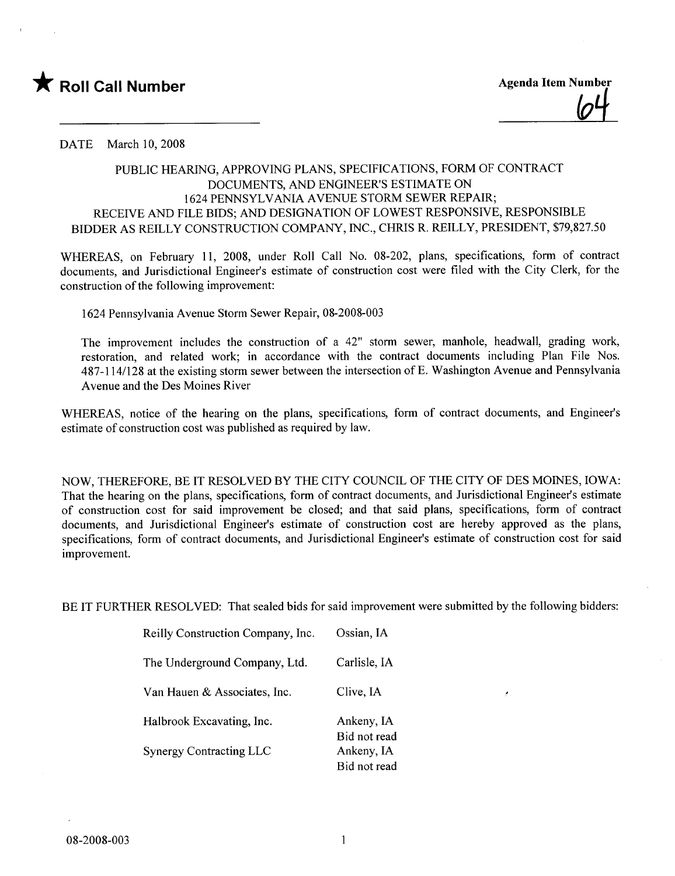

DATE March 10, 2008

## PUBLIC HEARING, APPROVING PLANS, SPECIFICATIONS, FORM OF CONTRACT DOCUMENTS, AND ENGINEER'S ESTIMATE ON 1624 PENNSYLVANIA AVENUE STORM SEWER REPAIR; RECEIVE AND FILE BIDS; AND DESIGNATION OF LOWEST RESPONSIVE, RESPONSIBLE BIDDER AS REILLY CONSTRUCTION COMPANY, INC., CHRIS R. REILLY, PRESIDENT, \$79,827.50

WHREAS, on February 11, 2008, under Roll Call No. 08-202, plans, specifications, form of contract documents, and Jurisdictional Engineer's estimate of construction cost were fied with the City Clerk, for the construction of the following improvement:

1624 Pennsylvania Avenue Storm Sewer Repair, 08-2008-003

The improvement includes the construction of a 42" storm sewer, manhole, headwall, grading work, restoration, and related work; in accordance with the contract documents including Plan File Nos. 487-114/128 at the existing storm sewer between the intersection of E. Washington Avenue and Pennsylvania Avenue and the Des Moines River

WHREAS, notice of the hearing on the plans, specifications, form of contract documents, and Engineer's estimate of construction cost was published as required by law.

NOW, THEREFORE, BE IT RESOLVED BY THE CITY COUNCIL OF THE CITY OF DES MOINES, IOWA: That the hearing on the plans, specifications, form of contract documents, and Jurisdictional Engineer's estimate of construction cost for said improvement be closed; and that said plans, specifications, form of contract documents, and Jurisdictional Engineer's estimate of construction cost are hereby approved as the plans, specifications, form of contract documents, and Jurisdictional Engineer's estimate of construction cost for said improvement.

BE IT FURTHER RESOLVED: That sealed bids for said improvement were submitted by the following bidders:

| Reilly Construction Company, Inc. | Ossian, IA                 |
|-----------------------------------|----------------------------|
| The Underground Company, Ltd.     | Carlisle, IA               |
| Van Hauen & Associates, Inc.      | Clive, IA                  |
| Halbrook Excavating, Inc.         | Ankeny, IA<br>Bid not read |
| <b>Synergy Contracting LLC</b>    | Ankeny, IA<br>Bid not read |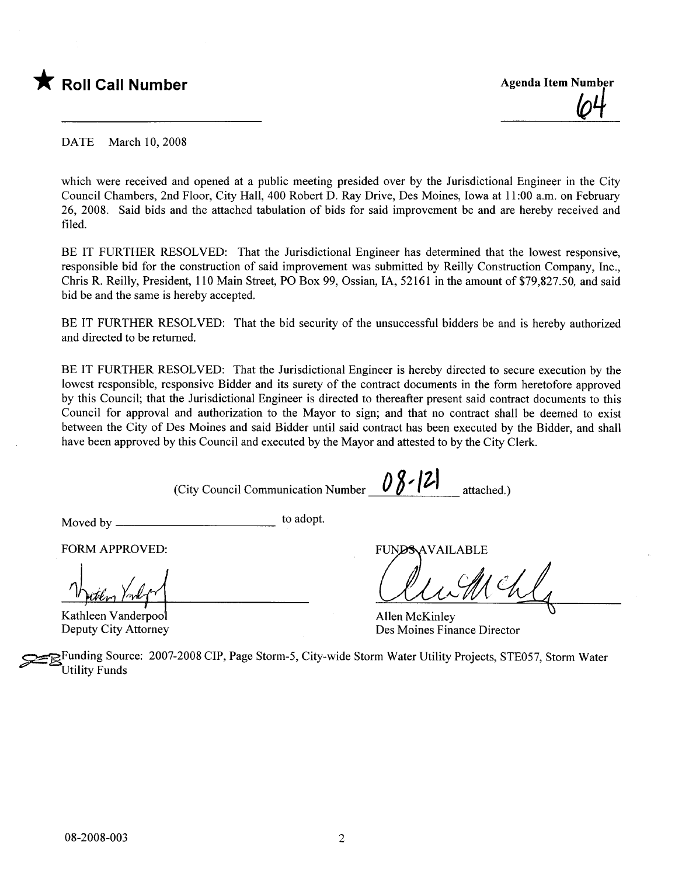

<u>(04</u>

DATE March 10, 2008

which were received and opened at a public meeting presided over by the Jurisdictional Engineer in the City Council Chambers, 2nd Floor, City Hall, 400 Robert D. Ray Drive, Des Moines, Iowa at 11 :00 a.m. on February 26, 2008. Said bids and the attached tabulation of bids for said improvement be and are hereby received and fied.

BE IT FURTHER RESOLVED: That the Jurisdictional Engineer has determined that the lowest responsive, responsible bid for the construction of said improvement was submitted by Reily Construction Company, Inc., Chris R. Reily, President, 110 Main Street, PO Box 99, Ossian, lA, 52161 in the amount of \$79,827.50, and said bid be and the same is hereby accepted.

BE IT FURTHER RESOLVED: That the bid security of the unsuccessful bidders be and is hereby authorized and directed to be returned.

BE IT FURTHER RESOLVED: That the Jurisdictional Engineer is hereby directed to secure execution by the lowest responsible, responsive Bidder and its surety of the contract documents in the form heretofore approved by this Council; that the Jurisdictional Engineer is directed to thereafter present said contract documents to this Council for approval and authorization to the Mayor to sign; and that no contract shall be deemed to exist between the City of Des Moines and said Bidder until said contract has been executed by the Bidder, and shall have been approved by this Council and executed by the Mayor and attested to by the City Clerk.

(City Council Communication Number  $\left|\n\begin{array}{cc} 0 & 0 \\ 0 & 1 \end{array}\n\right|$  attached.)

Moved by to adopt.

FORM APPROVED:

FORM APPROVED<br>musiker /mlf

Deputy City Attorney

FUNDS AVAILABLE

Allen McKinley Des Moines Finance Director

Funding Source: 2007-2008 CIP, Page Storm-5, City-wide Storm Water Utility Projects, STE057, Storm Water Utility Funds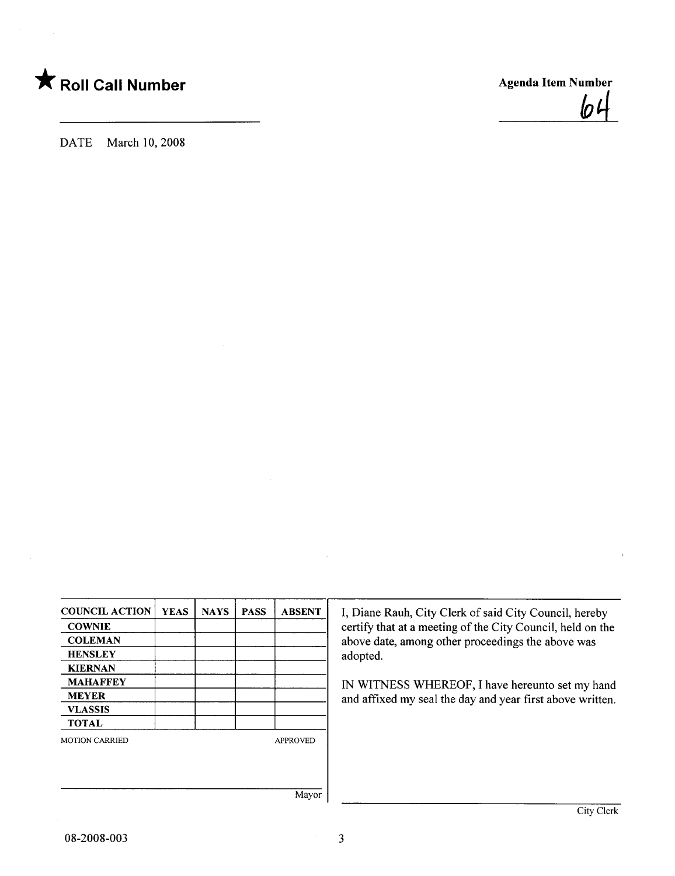

 $\boldsymbol{p}$ 

DATE March 10, 2008

| <b>COUNCIL ACTION</b> | <b>YEAS</b> | <b>NAYS</b> | <b>PASS</b> | <b>ABSENT</b>   |
|-----------------------|-------------|-------------|-------------|-----------------|
| <b>COWNIE</b>         |             |             |             |                 |
| <b>COLEMAN</b>        |             |             |             |                 |
| <b>HENSLEY</b>        |             |             |             |                 |
| <b>KIERNAN</b>        |             |             |             |                 |
| <b>MAHAFFEY</b>       |             |             |             |                 |
| <b>MEYER</b>          |             |             |             |                 |
| <b>VLASSIS</b>        |             |             |             |                 |
| <b>TOTAL</b>          |             |             |             |                 |
| <b>MOTION CARRIED</b> |             |             |             | <b>APPROVED</b> |
|                       |             |             |             |                 |
|                       |             |             |             |                 |
|                       |             |             |             | Mayor           |

I, Diane Rauh, City Clerk of said City Council, hereby certify that at a meeting of the City Council, held on the above date, among other proceedings the above was adopted.

IN WITNESS WHEREOF, I have hereunto set my hand and affixed my seal the day and year first above written.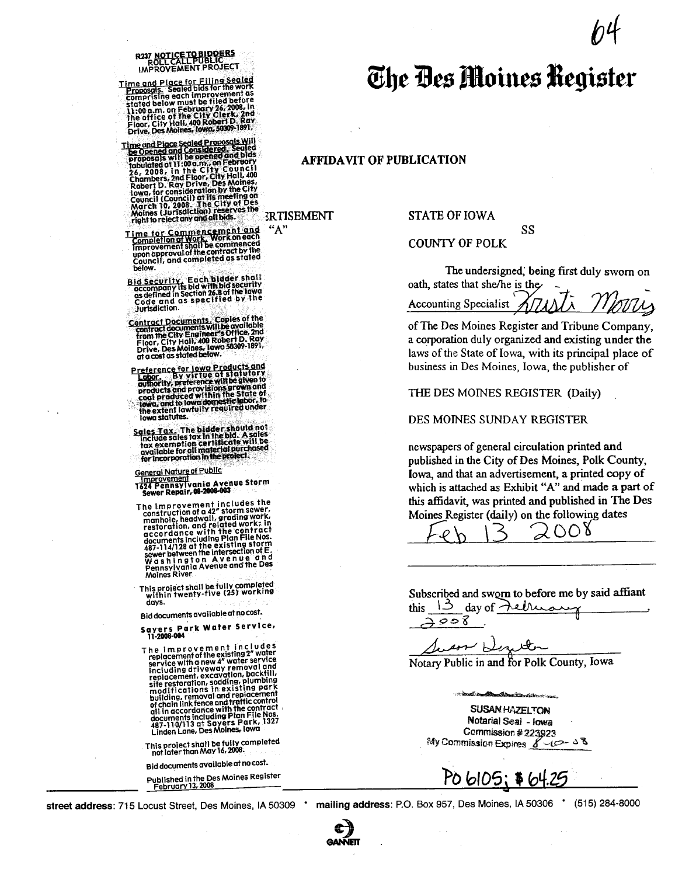## R237 NOTICE TO BIDDERS<br>ROLL CALL PUBLIC<br>IMPROVEMENT PROJECT

Time and Place for Filing Sealed<br>Proposals, Sealed bids for the work<br>comprising each improvement as<br>stated below must be filed before<br>li:00 a.m. on February 26, 2008, in<br>the office of the City Clerk, 2nd<br>Floor, City Hall,

- Time and Place Sealed Proposals Will<br>be Opened and Consider Proposals Will be opened and bids<br>proposals will be opened and bids<br>rapposals will be opened and bids<br> $26.2008$ , in the City Found,<br>Chambers, 2nd Floor, City Hall
- Time for Commencement and<br>Completion of Work, Work on each<br>improvement shall be commenced<br>upon approval of the comment by the<br>Council, and completed as stated below.
- Bid Security, Each Didder shall<br>accompany its bid with bid security<br>as defined in Section 26.8 of the lowa<br>Code and as specified by the<br>code and as specified by the Jurisdiction.
- Contract Documents. Copies of the<br>contract documents will be available<br>from the City Hail, 400 Robert D. Ray<br>Floor, City Hail, 400 Robert D. Ray<br>Drive, Des Moines, Iowa 50309-1891,<br>at a cost as stated below.
- Preference for lowe Products and<br>
Labor. By virtue of statutory<br>
authority, preference with begiven to<br>
products and provisions grown and<br>
coal produced within the State of<br>
towa, and to lowedomestic labor, to<br>
the extent lowa statutes.
- $\frac{Sales\,Tax}{Sales\,Tax}$  The bidder should not<br>include sules tox in the bid. A sales<br>tox exemption certificate will be<br>ovailable for all material purchased<br>for incorporation in the project.
- 
- <u>General Nature of Public</u><br>| <u>Improvement</u><br>| 1624 Pennsylvania Avenue Storm<br>| Sewer Repair, **08-2008-003**
- The improvement includes the<br>construction of a 42" storm sewer,<br>manhole, headwall, grading work,<br>restoration, and related work; in<br>accordance with the contract<br>documents including Plan File Nos.<br>487-114/128 at the existing
- This project shall be fully completed<br>within twenty-five (25) working with!<br>days.

Bid documents available at no cost.

- Sayers Park Water Service,<br>11-2008-004
- The  $\frac{1}{2}$  improvement in cludes<br>replacement of the existing 2" water<br>service with a new 4" water service<br>including driveway removal and increase<br>replacement.excavation, backfill,<br>site restoration, sodding, plumbing<br>mo
- This project shall be fully completed<br>not later than May 16, 2008.

Bid documents available at no cost. Published in the Des Moines Register<br>February 13, 2008 The Des Moines Register

### **AFFIDAVIT OF PUBLICATION**

**ERTISEMENT** 

"A"

**STATE OF IOWA** 

## **COUNTY OF POLK**

The undersigned, being first duly sworn on oath, states that she/he is the

SS

**Accounting Specialist** 

of The Des Moines Register and Tribune Company, a corporation duly organized and existing under the laws of the State of Iowa, with its principal place of business in Des Moines, Iowa, the publisher of

THE DES MOINES REGISTER (Daily)

#### DES MOINES SUNDAY REGISTER

newspapers of general circulation printed and published in the City of Des Moines, Polk County, Iowa, and that an advertisement, a printed copy of which is attached as Exhibit "A" and made a part of this affidavit, was printed and published in The Des Moines Register (daily) on the following dates

2008

Subscribed and sworn to before me by said affiant this  $12$ day of  $\lambda$ elro

ユっって

son De

Notary Public in and for Polk County, Iowa

**SUSAN HAZELTON** Notarial Seal - Iowa Commission # 223923 My Commission Expires  $8 - 43$ 

**South Institute of Automatic Action** 



street address: 715 Locust Street, Des Moines, IA 50309

mailing address: P.O. Box 957, Des Moines, IA 50306 .

(515) 284-8000

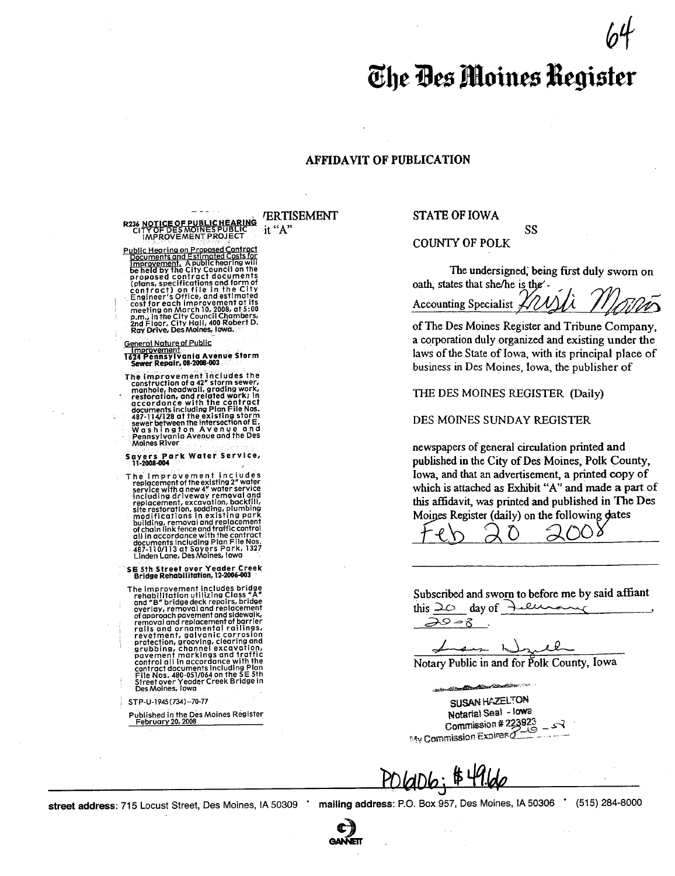## The Des Moines Register

## **AFFIDAVIT OF PUBLICATION**

R236 NOTICE OF PUBLIC HEARING<br>CITY OF DES MOINES PUBLIC<br>IMPROVEMENT PROJECT

Public Hearing on Proposed Contract<br>
<u>Public Hearing on Proposed Contract</u><br>
<u>Documents and Estimated Costs</u> for<br>
Increased to the City Council on the<br>
proposed contract documents<br>
proposed contract<br>
(blans, specifications

General Nature of Public<br>| improvement<br>| 1624 Pennsylvania Avenue Storm<br>| Sewer Repair, 08-2008-003

The improvement includes the<br>construction of a 42" storm sewer,<br>manhole, headwall, grading work,<br>restoration, and related work, in<br>accordance with the contract<br>documents including Plan FileNos<br>sewer between the intersectio Moines River

Sayers Park Water Service,

The imperior of the existing 2" water<br>the imperior of the existing 2" water<br>service with a new 4" water service<br>including driveway removal and<br>replacement, excavation, backfill,<br>stile restoration, solding, pluming<br>building

SE 5th Street over Yeader Creek<br>Bridge Rehabilitation, 12-2006-003

Bridge Rendbillindion, 12-2006-003<br>The improvement includes bridge<br>rehabilitation utilizing Class "A"<br>overlay, removal and replacement<br>of approach power and sidewalk,<br>removal and replacement of barrier<br>relis and or name na Des Moines, Iowa

STP-U-1945 (734)--70-77

Published in the Des Moines Register<br>February 20, 2008

**ERTISEMENT** it "A"

**STATE OF IOWA** 

### **COUNTY OF POLK**

The undersigned, being first duly sworn on oath, states that she/he is the'-

SS

Accounting Specialist \*

of The Des Moines Register and Tribune Company, a corporation duly organized and existing under the laws of the State of Iowa, with its principal place of business in Des Moines, Iowa, the publisher of

THE DES MOINES REGISTER (Daily)

DES MOINES SUNDAY REGISTER

newspapers of general circulation printed and published in the City of Des Moines, Polk County, Iowa, and that an advertisement, a printed copy of which is attached as Exhibit "A" and made a part of this affidavit, was printed and published in The Des Moines Register (daily) on the following dates

Subscribed and sworn to before me by said affiant this  $20$  day of tellus

 $20 - 8$ 

Notary Public in and for Polk County, Iowa

والقاسر

SUSAN HAZELTON Notarial Seal - lowa Commission # 223923 Steel Commission Expires

POLaD6; \$49.66

street address: 715 Locust Street, Des Moines, IA 50309

mailing address: P.O. Box 957, Des Moines, IA 50306 \*

(515) 284-8000

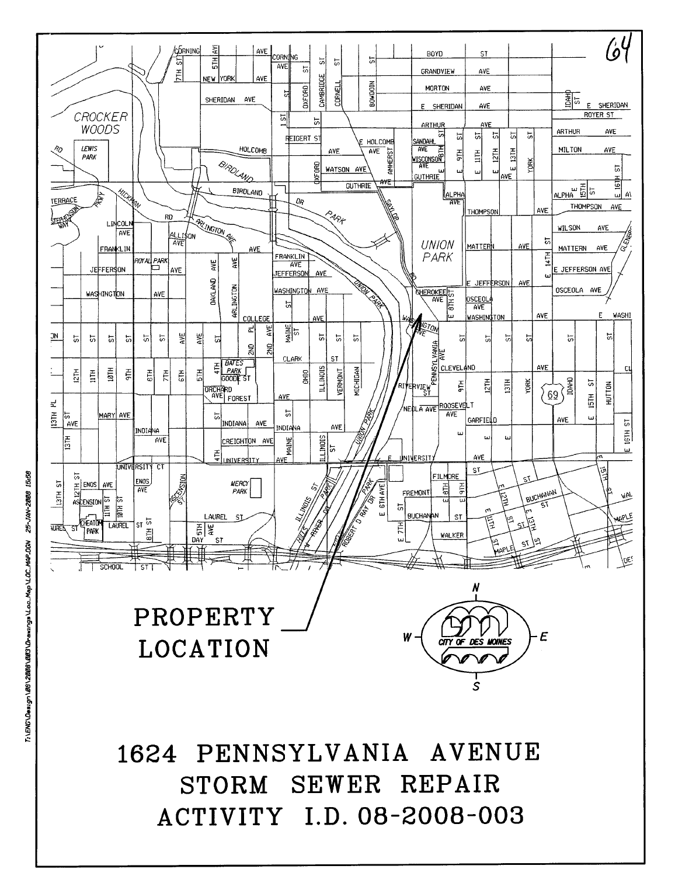# 1624 PENNSYLVANIA AVENUE STORM SEWER REPAIR ACTIVITY I.D. 08-2008-003

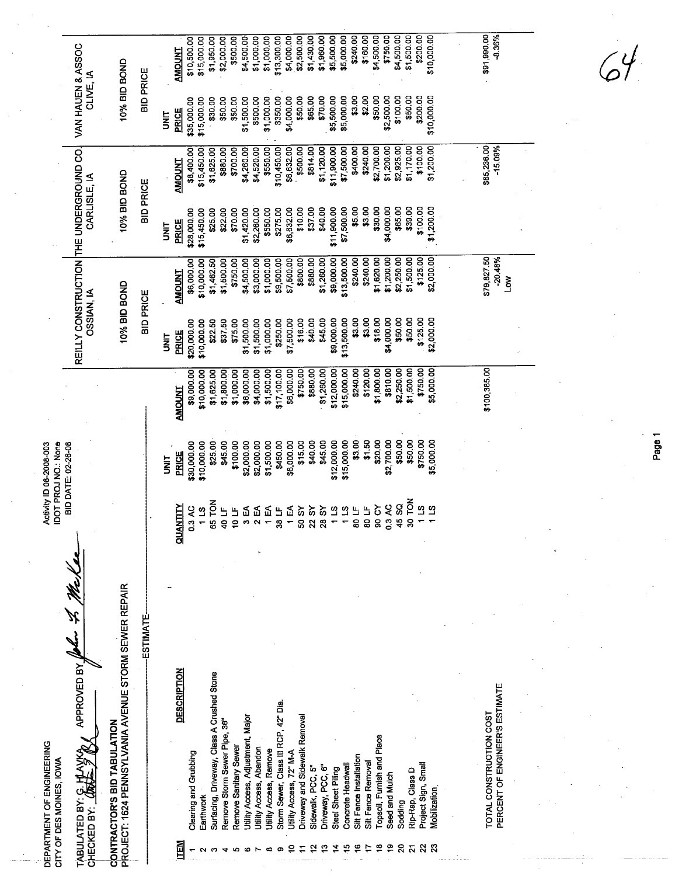| VAN HAUEN & ASSOC<br>10% BID BOND<br><b>BID PRICE</b><br>CLIVE, IA                                       | \$200.00<br>\$750.00<br>\$4,500.00<br>\$1,500.00<br>\$10,000.00<br>\$160.00<br>\$4,500.00<br>\$2,500.00<br>\$1,430.00<br>\$1,960.00<br>\$5,500.00<br>\$5,000.00<br>\$240.00<br>\$10,500.00<br>\$15,000.00<br>\$1,950.00<br>\$2,000.00<br>\$500.00<br>\$4,500.00<br>\$1,000.00<br>\$1,000.00<br>\$13,300.00<br>\$4,000.00<br>AMOUNT                                                                                                                                                                                                                           | \$91,990.00<br>$-8.36%$                                   |
|----------------------------------------------------------------------------------------------------------|--------------------------------------------------------------------------------------------------------------------------------------------------------------------------------------------------------------------------------------------------------------------------------------------------------------------------------------------------------------------------------------------------------------------------------------------------------------------------------------------------------------------------------------------------------------|-----------------------------------------------------------|
|                                                                                                          | \$65.00<br>\$70.00<br>\$5,500.00<br>\$5,000.00<br>\$3.00<br>\$2.00<br>\$50.00<br>\$100.00<br>\$50.00<br>\$200.00<br>\$10,000.00<br>\$350.00<br>\$4,000.00<br>\$50.00<br>\$2,500.00<br>\$50.00<br>\$50.00<br>\$1,500.00<br>\$500.00<br>\$1,000.00<br>\$35,000.00<br>\$15,000.00<br>\$30.00<br><b>PRICE</b><br><b>UNIT</b>                                                                                                                                                                                                                                     |                                                           |
| 10% BID BOND<br>CARLISLE, IA<br><b>BID PRICE</b>                                                         | \$400.00<br>\$2,700.00<br>\$1,200.00<br>\$1,120.00<br>\$11,900.00<br>\$7,500.00<br>\$240.00<br>\$1,200.00<br>\$2,925.00<br>\$1,170.00<br>\$100.00<br>\$814.00<br>\$4,260.00<br>\$4,520.00<br>\$550.00<br>\$10,450.00<br>\$6,632.00<br>\$500.00<br>\$8,400.00<br>\$15,450.00<br>\$1,625.00<br>\$880.00<br>\$700.00<br><b>AMOUNT</b>                                                                                                                                                                                                                           | \$85,236.00<br>$-15.09%$                                  |
|                                                                                                          | \$65.00<br>\$39.00<br>\$100.00<br>\$7,500.00<br>\$5.00<br>\$3.00<br>\$30.00<br>\$4,000.00<br>\$1,200.00<br>\$10.00<br>\$37.00<br>\$40.00<br>\$11,900.00<br>\$1,420.00<br>\$2,260.00<br>\$550,00<br>\$275.00<br>\$6,632.00<br>\$70.00<br>\$28,000.00<br>\$25.00<br>\$22.00<br>\$15,450.00<br><b>PRICE</b><br><b>SP</b>                                                                                                                                                                                                                                        |                                                           |
| REILLY CONSTRUCTION THE UNDERGROUND CO.<br>10% BID BOND<br><b>OSSIAN, IA</b><br><b>BID PRICE</b>         | \$240.00<br>\$1,200.00<br>\$2,250.00<br>\$1,500.00<br>\$125.00<br>\$2,000.00<br>\$800.00<br>\$880.00<br>\$1,260.00<br>\$9,000.00<br>\$13,500.00<br>\$240.00<br>\$1,620.00<br>\$6,000.00<br>\$1,500.00<br>\$3,000.00<br>\$1,000.00<br>\$9,500.00<br>\$7,500.00<br>\$10,000.00<br>\$1,462.50<br>\$750.00<br>\$4,500.00<br><b>AMOUNT</b>                                                                                                                                                                                                                        | \$79,827.50<br>$-20.48%$<br>Š                             |
|                                                                                                          | \$50.00<br>\$3.00<br>\$18.00<br>\$4,000.00<br>\$50.00<br>\$125.00<br>\$2,000.00<br>\$16.00<br>\$40.00<br>\$45.00<br>\$9,000.00<br>\$13,500.00<br>\$3.00<br>\$1,500.00<br>\$1,000.00<br>\$250.00<br>\$7,500.00<br>\$22.50<br>\$37.50<br>\$75.00<br>\$1,500.00<br>\$10,000.00<br>\$20,000.00<br>PRICE<br>is<br>S                                                                                                                                                                                                                                               |                                                           |
|                                                                                                          | \$5,000.00<br>\$750.00<br>\$880.00<br>\$1,260.00<br>\$12,000.00<br>\$15,000.00<br>\$240.00<br>\$120.00<br>\$1,800.00<br>\$810.00<br>\$2,250.00<br>\$1,500.00<br>\$750.00<br>\$6,000.00<br>\$4,000.00<br>\$1,500.00<br>\$17,100.00<br>\$6,000.00<br>\$9,000.00<br>\$1,800.00<br>\$1,000.00<br>\$10,000.00<br>\$1,625.00<br><b>AMOUNT</b>                                                                                                                                                                                                                      | \$100,385.00                                              |
| Activity ID 08-2008-003<br>IDOT PROJ NO.: None<br>BID DATE: 02-26-08                                     | \$3.00<br>\$750.00<br>\$1.50<br>\$20.00<br>\$50.00<br>\$15,000.00<br>\$2,700.00<br>\$50.00<br>\$15.00<br>\$40.00<br>\$45.00<br>\$12,000.00<br>\$5,000.00<br>\$25.00<br>\$1,500.00<br>\$450.00<br>\$6,000.00<br>\$45.00<br>\$100.00<br>\$2,000.00<br>\$2,000.00<br>\$30,000.00<br>\$10,000.00<br><b>PRICE</b><br><b>SINT</b>                                                                                                                                                                                                                                  |                                                           |
|                                                                                                          | řох<br>65 TON<br>S<br>3 AC<br><b>QUANTITY</b><br>SO CY<br>្ម<br>$\mathbf{a}$<br>₷<br>$\approx$<br>$\mathfrak{a}$<br>$\frac{1}{2}$<br>113<br>5<br>ᡒ<br>š<br>$\mathbf{u}_1$<br>0.3 AC<br>₫<br>₹<br>്യ<br>$\frac{1}{2}$<br>Щ<br>≒<br>g<br>$\overline{2}$<br>្ណ<br>0<br>ğ,<br>ø<br>ō<br>$\mathbf{\hat{z}}$<br>B<br>o                                                                                                                                                                                                                                             |                                                           |
| <b>ESTIMATE</b>                                                                                          |                                                                                                                                                                                                                                                                                                                                                                                                                                                                                                                                                              |                                                           |
| PROJECT: 1624 PENNSYLVANIA AVENUE STORM SEWER REPAIR<br>APPROVED BY                                      | <b>DESCRIPTION</b><br>Surfacing, Driveway, Class A Crushed Stone                                                                                                                                                                                                                                                                                                                                                                                                                                                                                             |                                                           |
| CONTRACTOR'S BID TABULATION<br>DEPARTMENT OF ENGINEERING<br>CITY OF DES MOINES, IOWA<br>TABULATED BY: C. | Storm Sewer, Class III RCP, 42" Dia.<br><b>Jtility Access, Adjustment, Major</b><br>Driveway and Sidewalk Removal<br>Remove Storm Sewer Pipe, 36"<br>Topsoil, Furnish and Place<br>Remove Sanitary Sewer<br>Jtility Access, Abandon<br>Utility Access, Remove<br>Jtility Access, 72" M-A<br>Clearing and Grubbing<br>Silt Fence Installation<br>Silt Fence Removal<br>Project Sign, Small<br>Driveway, PCC, 6"<br>Sidewalk, PCC, 5"<br>Concrete Headwal<br>Steel Sheet Piling<br>Rip-Rap, Class D<br>Seed and Mulch<br>Viobilization<br>Earthwork<br>Sodding | PERCENT OF ENGINEER'S ESTIMATE<br>TOTAL CONSTRUCTION COST |
| CHECKED BY:                                                                                              | <u>ITEM</u><br>₫<br>≌<br>20<br>$\overline{\mathbf{z}}$<br>$\mathbf{z}$<br>≌<br>≌                                                                                                                                                                                                                                                                                                                                                                                                                                                                             |                                                           |

Page 1

 $\mathcal{G}^{\mathcal{Y}}$